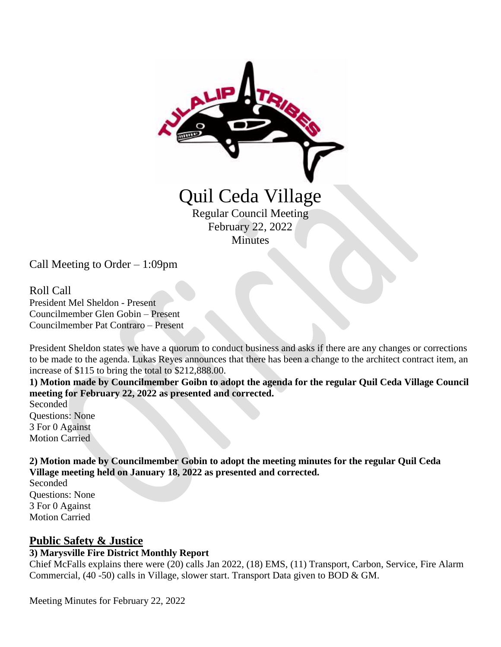

Regular Council Meeting February 22, 2022 **Minutes** 

Call Meeting to Order – 1:09pm

Roll Call President Mel Sheldon - Present Councilmember Glen Gobin – Present Councilmember Pat Contraro – Present

President Sheldon states we have a quorum to conduct business and asks if there are any changes or corrections to be made to the agenda. Lukas Reyes announces that there has been a change to the architect contract item, an increase of \$115 to bring the total to \$212,888.00.

**1) Motion made by Councilmember Goibn to adopt the agenda for the regular Quil Ceda Village Council meeting for February 22, 2022 as presented and corrected.**

Seconded Questions: None 3 For 0 Against Motion Carried

**2) Motion made by Councilmember Gobin to adopt the meeting minutes for the regular Quil Ceda Village meeting held on January 18, 2022 as presented and corrected.**

Seconded Questions: None 3 For 0 Against Motion Carried

## **Public Safety & Justice**

# **3) Marysville Fire District Monthly Report**

Chief McFalls explains there were (20) calls Jan 2022, (18) EMS, (11) Transport, Carbon, Service, Fire Alarm Commercial, (40 -50) calls in Village, slower start. Transport Data given to BOD & GM.

Meeting Minutes for February 22, 2022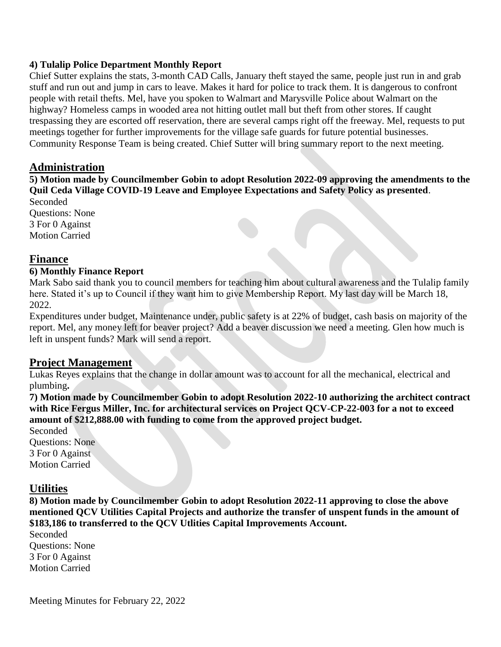#### **4) Tulalip Police Department Monthly Report**

Chief Sutter explains the stats, 3-month CAD Calls, January theft stayed the same, people just run in and grab stuff and run out and jump in cars to leave. Makes it hard for police to track them. It is dangerous to confront people with retail thefts. Mel, have you spoken to Walmart and Marysville Police about Walmart on the highway? Homeless camps in wooded area not hitting outlet mall but theft from other stores. If caught trespassing they are escorted off reservation, there are several camps right off the freeway. Mel, requests to put meetings together for further improvements for the village safe guards for future potential businesses. Community Response Team is being created. Chief Sutter will bring summary report to the next meeting.

### **Administration**

**5) Motion made by Councilmember Gobin to adopt Resolution 2022-09 approving the amendments to the Quil Ceda Village COVID-19 Leave and Employee Expectations and Safety Policy as presented**.

Seconded Questions: None 3 For 0 Against Motion Carried

#### **Finance**

#### **6) Monthly Finance Report**

Mark Sabo said thank you to council members for teaching him about cultural awareness and the Tulalip family here. Stated it's up to Council if they want him to give Membership Report. My last day will be March 18, 2022.

Expenditures under budget, Maintenance under, public safety is at 22% of budget, cash basis on majority of the report. Mel, any money left for beaver project? Add a beaver discussion we need a meeting. Glen how much is left in unspent funds? Mark will send a report.

### **Project Management**

Lukas Reyes explains that the change in dollar amount was to account for all the mechanical, electrical and plumbing**.**

**7) Motion made by Councilmember Gobin to adopt Resolution 2022-10 authorizing the architect contract with Rice Fergus Miller, Inc. for architectural services on Project QCV-CP-22-003 for a not to exceed amount of \$212,888.00 with funding to come from the approved project budget.** 

Seconded Questions: None 3 For 0 Against Motion Carried

### **Utilities**

**8) Motion made by Councilmember Gobin to adopt Resolution 2022-11 approving to close the above mentioned QCV Utilities Capital Projects and authorize the transfer of unspent funds in the amount of \$183,186 to transferred to the QCV Utlities Capital Improvements Account.** 

Seconded Questions: None 3 For 0 Against Motion Carried